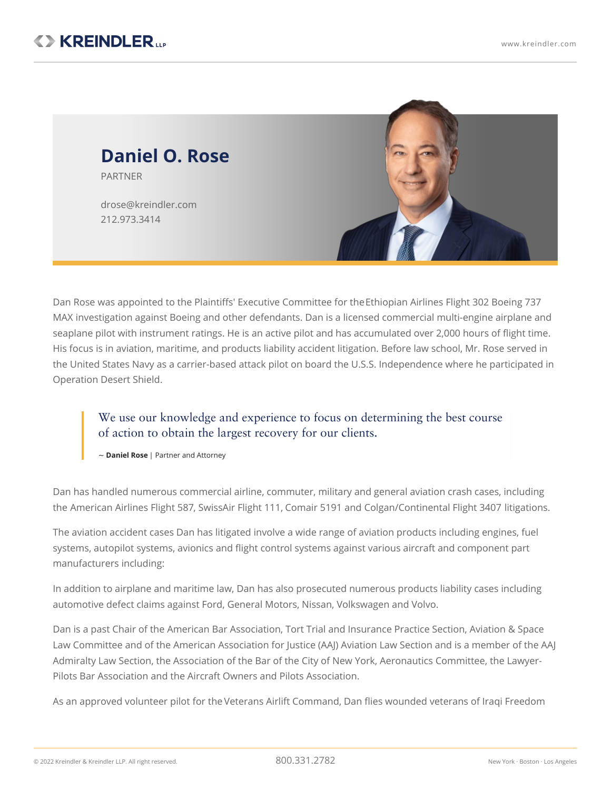

Dan Rose was appointed to the Plaintiffs' Executive Committee for [theEthiopian](https://www.kreindler.com/cases/et302-boeing-737-max-8-crash-ethiopia) Airlines Flight 302 Boeing 737 MAX investigation against Boeing and other defendants. Dan is a licensed commercial multi-engine airplane and seaplane pilot with instrument ratings. He is an active pilot and has accumulated over 2,000 hours of flight time. His focus is in aviation, maritime, and products liability accident litigation. Before law school, Mr. Rose served in the United States Navy as a carrier-based attack pilot on board the U.S.S. Independence where he participated in Operation Desert Shield.

We use our knowledge and experience to focus on determining the best course of action to obtain the largest recovery for our clients.

~ **Daniel Rose** | Partner and Attorney

Dan has handled numerous commercial airline, commuter, military and general aviation crash cases, including the [American](https://www.kreindler.com/cases/victims-american-airlines-flight-587-crash-ny) Airlines Flight 587, SwissAir Flight 111, [Comair](https://www.kreindler.com/articles/comair-5191-colgan-3407) 5191 and [Colgan/Continental](https://www.kreindler.com/articles/comair-5191-colgan-3407) Flight 3407 litigations.

The aviation accident cases Dan has litigated involve a wide range of aviation products including engines, fuel systems, autopilot systems, avionics and flight control systems against various aircraft and component part manufacturers including:

In addition to airplane and maritime law, Dan has also prosecuted numerous products liability cases including automotive defect claims against Ford, General Motors, Nissan, Volkswagen and Volvo.

Dan is a past Chair of the American Bar Association, Tort Trial and Insurance Practice Section, Aviation & Space Law Committee and of the American Association for Justice (AAJ) Aviation Law Section and is a member of the AAJ Admiralty Law Section, the Association of the Bar of the City of New York, Aeronautics Committee, the Lawyer-Pilots Bar Association and the Aircraft Owners and Pilots Association.

As an approved volunteer pilot for the Veterans Airlift [Command](http://www.veteransairlift.org), Dan flies wounded veterans of Iraqi Freedom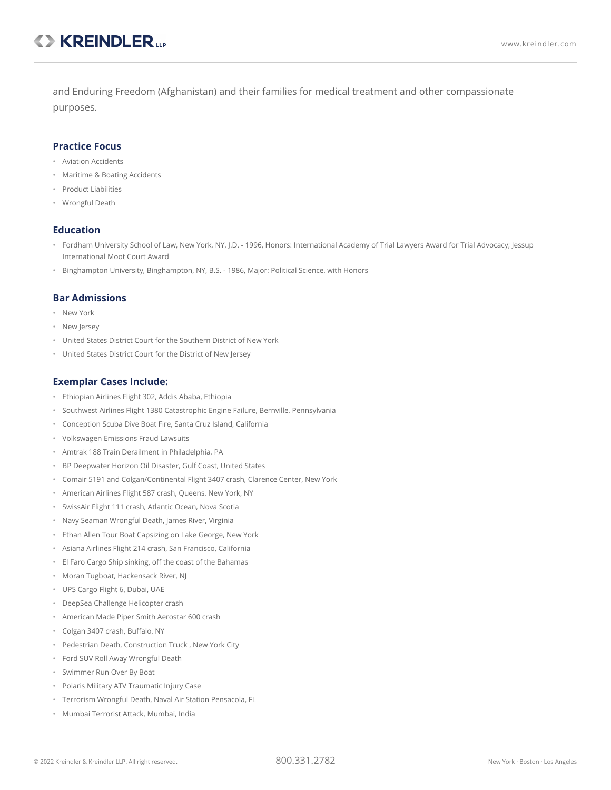and Enduring Freedom (Afghanistan) and their families for medical treatment and other compassionate purposes.

## **Practice Focus**

- Aviation Accidents
- Maritime & Boating Accidents
- Product Liabilities
- Wrongful Death

## **Education**

- Fordham University School of Law, New York, NY, J.D. 1996, Honors: International Academy of Trial Lawyers Award for Trial Advocacy; Jessup International Moot Court Award
- Binghampton University, Binghampton, NY, B.S. 1986, Major: Political Science, with Honors

## **Bar Admissions**

- New York
- New Jersey
- United States District Court for the Southern District of New York
- United States District Court for the District of New Jersey

## **Exemplar Cases Include:**

- Ethiopian Airlines Flight 302, Addis Ababa, Ethiopia
- Southwest Airlines Flight 1380 Catastrophic Engine Failure, Bernville, Pennsylvania
- Conception Scuba Dive Boat Fire, Santa Cruz Island, California
- Volkswagen Emissions Fraud Lawsuits
- Amtrak 188 Train Derailment in Philadelphia, PA
- BP Deepwater Horizon Oil Disaster, Gulf Coast, United States
- Comair 5191 and Colgan/Continental Flight 3407 crash, Clarence Center, New York
- American Airlines Flight 587 crash, Queens, New York, NY
- SwissAir Flight 111 crash, Atlantic Ocean, Nova Scotia
- Navy Seaman Wrongful Death, James River, Virginia
- Ethan Allen Tour Boat Capsizing on Lake George, New York
- Asiana Airlines Flight 214 crash, San Francisco, California
- El Faro Cargo Ship sinking, off the coast of the Bahamas
- Moran Tugboat, Hackensack River, NJ
- UPS Cargo Flight 6, Dubai, UAE
- DeepSea Challenge Helicopter crash
- American Made Piper Smith Aerostar 600 crash
- Colgan 3407 crash, Buffalo, NY
- Pedestrian Death, Construction Truck , New York City
- Ford SUV Roll Away Wrongful Death
- Swimmer Run Over By Boat
- Polaris Military ATV Traumatic Injury Case
- Terrorism Wrongful Death, Naval Air Station Pensacola, FL
- Mumbai Terrorist Attack, Mumbai, India